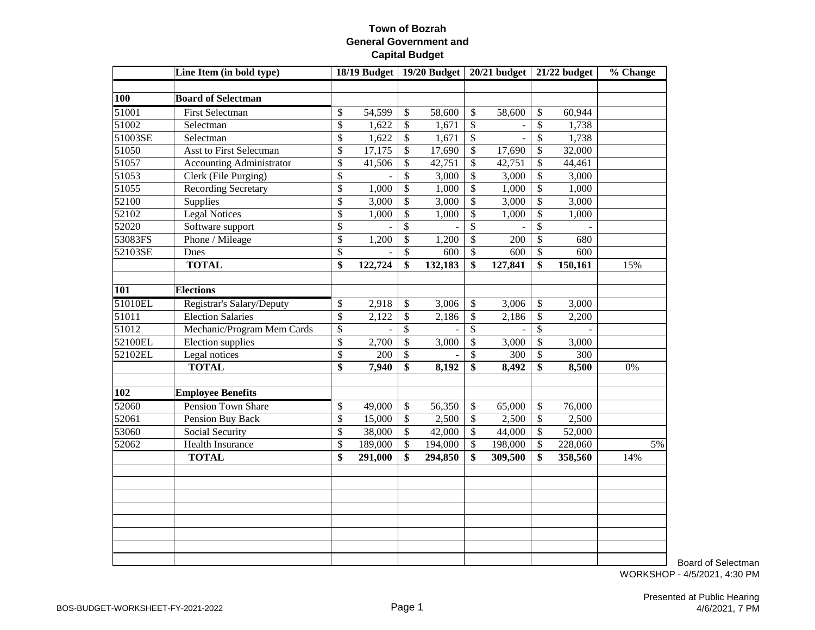|                  | Line Item (in bold type)        |                          | 18/19 Budget |                           | 19/20 Budget |                           | $20/21$ budget |                           | $21/22$ budget | % Change |
|------------------|---------------------------------|--------------------------|--------------|---------------------------|--------------|---------------------------|----------------|---------------------------|----------------|----------|
|                  |                                 |                          |              |                           |              |                           |                |                           |                |          |
| 100              | <b>Board of Selectman</b>       |                          |              |                           |              |                           |                |                           |                |          |
| 51001            | <b>First Selectman</b>          | \$                       | 54,599       | \$                        | 58,600       | \$                        | 58,600         | \$                        | 60,944         |          |
| 51002            | Selectman                       | \$                       | 1,622        | $\boldsymbol{\mathsf{S}}$ | 1,671        | $\boldsymbol{\mathsf{S}}$ |                | $\overline{\mathcal{S}}$  | 1,738          |          |
| 51003SE          | Selectman                       | $\overline{\$}$          | 1,622        | $\overline{\$}$           | 1,671        | $\overline{\$}$           |                | $\overline{\$}$           | 1,738          |          |
| 51050            | <b>Asst to First Selectman</b>  | \$                       | 17,175       | $\overline{\$}$           | 17,690       | $\mathcal{S}$             | 17,690         | \$                        | 32,000         |          |
| 51057            | <b>Accounting Administrator</b> | \$                       | 41,506       | \$                        | 42,751       | \$                        | 42,751         | \$                        | 44,461         |          |
| 51053            | Clerk (File Purging)            | \$                       |              | \$                        | 3,000        | $\overline{\$}$           | 3,000          | $\boldsymbol{\mathsf{S}}$ | 3,000          |          |
| 51055            | <b>Recording Secretary</b>      | \$                       | 1,000        | $\boldsymbol{\mathsf{S}}$ | 1,000        | $\mathcal{S}$             | 1,000          | $\overline{\$}$           | 1,000          |          |
| 52100            | Supplies                        | \$                       | 3,000        | \$                        | 3,000        | \$                        | 3,000          | \$                        | 3,000          |          |
| 52102            | <b>Legal Notices</b>            | \$                       | 1,000        | \$                        | 1,000        | \$                        | 1,000          | \$                        | 1,000          |          |
| 52020            | Software support                | \$                       |              | \$                        |              | \$                        |                | \$                        |                |          |
| 53083FS          | Phone / Mileage                 | $\overline{\$}$          | 1,200        | \$                        | 1,200        | $\mathcal{S}$             | 200            | $\overline{\mathcal{S}}$  | 680            |          |
| 52103SE          | Dues                            | $\overline{\$}$          |              | $\overline{\$}$           | 600          | $\mathcal{S}$             | 600            | \$                        | 600            |          |
|                  | <b>TOTAL</b>                    | \$                       | 122,724      | \$                        | 132,183      | \$                        | 127,841        | \$                        | 150,161        | 15%      |
|                  |                                 |                          |              |                           |              |                           |                |                           |                |          |
| 101              | <b>Elections</b>                |                          |              |                           |              |                           |                |                           |                |          |
| 51010EL          | Registrar's Salary/Deputy       | \$                       | 2,918        | $\mathcal{S}$             | 3,006        | $\mathcal{S}$             | 3,006          | $\mathcal{S}$             | 3,000          |          |
| 51011            | <b>Election Salaries</b>        | \$                       | 2,122        | $\boldsymbol{\mathsf{S}}$ | 2,186        | $\boldsymbol{\mathsf{S}}$ | 2,186          | $\mathcal{S}$             | 2,200          |          |
| 51012            | Mechanic/Program Mem Cards      | \$                       |              | \$                        |              | $\mathcal{S}$             |                | \$                        |                |          |
| 52100EL          | Election supplies               | \$                       | 2,700        | \$                        | 3,000        | \$                        | 3,000          | $\mathcal{S}$             | 3,000          |          |
| 52102EL          | Legal notices                   | \$                       | 200          | $\boldsymbol{\mathsf{S}}$ |              | \$                        | 300            | \$                        | 300            |          |
|                  | <b>TOTAL</b>                    | \$                       | 7,940        | $\overline{\$}$           | 8,192        | $\overline{\mathbf{s}}$   | 8,492          | \$                        | 8,500          | 0%       |
|                  |                                 |                          |              |                           |              |                           |                |                           |                |          |
| $\overline{102}$ | <b>Employee Benefits</b>        |                          |              |                           |              |                           |                |                           |                |          |
| 52060            | <b>Pension Town Share</b>       | \$                       | 49,000       | $\mathcal{S}$             | 56,350       | \$                        | 65,000         | $\boldsymbol{\mathsf{S}}$ | 76,000         |          |
| 52061            | <b>Pension Buy Back</b>         | $\overline{\mathcal{S}}$ | 15,000       | $\boldsymbol{\mathsf{S}}$ | 2,500        | $\mathcal{S}$             | 2,500          | $\boldsymbol{\mathsf{S}}$ | 2,500          |          |
| 53060            | Social Security                 | \$                       | 38,000       | $\overline{\mathcal{S}}$  | 42,000       | $\mathcal{S}$             | 44,000         | $\overline{\mathcal{S}}$  | 52,000         |          |
| 52062            | <b>Health Insurance</b>         | $\overline{\mathcal{S}}$ | 189,000      | $\overline{\$}$           | 194,000      | $\mathcal{S}$             | 198,000        | $\overline{\mathcal{S}}$  | 228,060        | 5%       |
|                  | <b>TOTAL</b>                    | \$                       | 291,000      | \$                        | 294,850      | \$                        | 309,500        | \$                        | 358,560        | 14%      |
|                  |                                 |                          |              |                           |              |                           |                |                           |                |          |
|                  |                                 |                          |              |                           |              |                           |                |                           |                |          |
|                  |                                 |                          |              |                           |              |                           |                |                           |                |          |
|                  |                                 |                          |              |                           |              |                           |                |                           |                |          |
|                  |                                 |                          |              |                           |              |                           |                |                           |                |          |
|                  |                                 |                          |              |                           |              |                           |                |                           |                |          |
|                  |                                 |                          |              |                           |              |                           |                |                           |                |          |
|                  |                                 |                          |              |                           |              |                           |                |                           |                |          |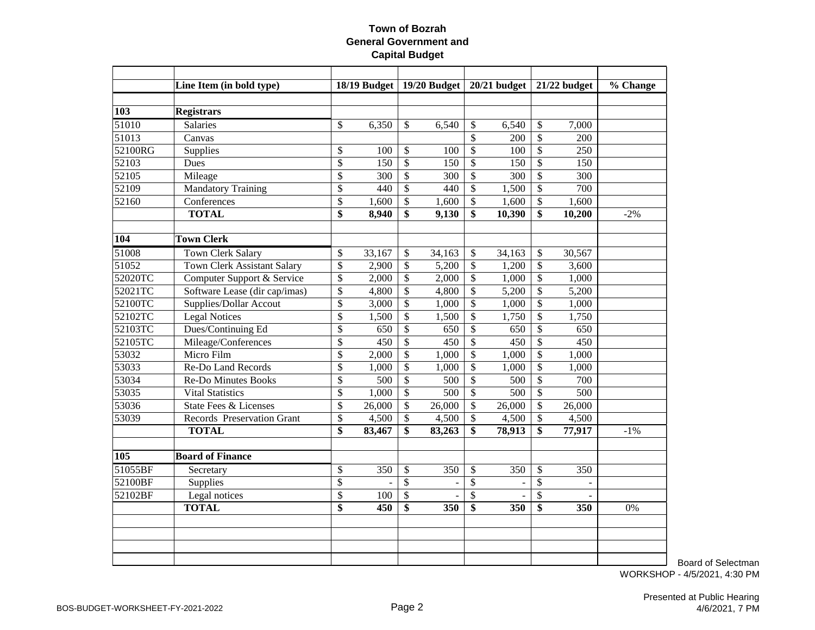|                 | Line Item (in bold type)           |                          |        |                           |                  |                           | 18/19 Budget   19/20 Budget   20/21 budget |                          | $21/22$ budget   | % Change |
|-----------------|------------------------------------|--------------------------|--------|---------------------------|------------------|---------------------------|--------------------------------------------|--------------------------|------------------|----------|
|                 |                                    |                          |        |                           |                  |                           |                                            |                          |                  |          |
| 103             | <b>Registrars</b>                  |                          |        |                           |                  |                           |                                            |                          |                  |          |
| 51010           | <b>Salaries</b>                    | \$                       | 6,350  | \$                        | 6,540            | \$                        | 6,540                                      | \$                       | 7,000            |          |
| 51013           | Canvas                             |                          |        |                           |                  | \$                        | 200                                        | $\mathcal{S}$            | 200              |          |
| 52100RG         | Supplies                           | \$                       | 100    | \$                        | 100              | $\mathcal{S}$             | 100                                        | \$                       | 250              |          |
| 52103           | Dues                               | \$                       | 150    | $\mathcal{S}$             | 150              | $\mathcal{S}$             | 150                                        | \$                       | 150              |          |
| 52105           | Mileage                            | \$                       | 300    | \$                        | 300              | $\boldsymbol{\mathsf{S}}$ | 300                                        | \$                       | 300              |          |
| 52109           | <b>Mandatory Training</b>          | \$                       | 440    | \$                        | 440              | $\mathcal{S}$             | 1,500                                      | \$                       | 700              |          |
| 52160           | Conferences                        | \$                       | 1,600  | \$                        | 1,600            | \$                        | 1,600                                      | \$                       | 1,600            |          |
|                 | <b>TOTAL</b>                       | \$                       | 8,940  | $\overline{\$}$           | 9,130            | \$                        | 10,390                                     | $\overline{\$}$          | 10,200           | $-2%$    |
|                 |                                    |                          |        |                           |                  |                           |                                            |                          |                  |          |
| 104             | <b>Town Clerk</b>                  |                          |        |                           |                  |                           |                                            |                          |                  |          |
| 51008           | <b>Town Clerk Salary</b>           | \$                       | 33,167 | \$                        | 34,163           | $\mathcal{S}$             | 34,163                                     | $\mathsf{\$}$            | 30,567           |          |
| 51052           | <b>Town Clerk Assistant Salary</b> | \$                       | 2,900  | \$                        | 5,200            | $\boldsymbol{\mathsf{S}}$ | 1,200                                      | \$                       | 3,600            |          |
| 52020TC         | Computer Support & Service         | \$                       | 2,000  | $\mathbb{S}$              | 2,000            | \$                        | 1,000                                      | $\mathbb{S}$             | 1,000            |          |
| 52021TC         | Software Lease (dir cap/imas)      | \$                       | 4,800  | $\boldsymbol{\mathsf{S}}$ | 4,800            | $\mathcal{S}$             | 5,200                                      | \$                       | 5,200            |          |
| 52100TC         | <b>Supplies/Dollar Accout</b>      | \$                       | 3,000  | \$                        | 1,000            | $\mathcal{S}$             | 1,000                                      | $\mathsf{\$}$            | 1,000            |          |
| 52102TC         | <b>Legal Notices</b>               | \$                       | 1,500  | \$                        | 1,500            | $\mathcal{S}$             | 1,750                                      | $\mathbb{S}$             | 1,750            |          |
| 52103TC         | Dues/Continuing Ed                 | \$                       | 650    | \$                        | 650              | $\mathcal{S}$             | 650                                        | \$                       | 650              |          |
| 52105TC         | Mileage/Conferences                | \$                       | 450    | \$                        | 450              | $\mathcal{S}$             | 450                                        | \$                       | 450              |          |
| 53032           | Micro Film                         | \$                       | 2,000  | \$                        | 1,000            | $\boldsymbol{\mathsf{S}}$ | 1,000                                      | \$                       | 1,000            |          |
| 53033           | Re-Do Land Records                 | \$                       | 1,000  | \$                        | 1,000            | $\overline{\mathcal{S}}$  | 1,000                                      | $\overline{\mathcal{S}}$ | 1,000            |          |
| 53034           | <b>Re-Do Minutes Books</b>         | $\overline{\mathcal{S}}$ | 500    | \$                        | 500              | $\mathcal{S}$             | 500                                        | \$                       | 700              |          |
| 53035           | <b>Vital Statistics</b>            | \$                       | 1,000  | \$                        | $\overline{500}$ | $\mathcal{S}$             | $\overline{500}$                           | \$                       | $\overline{500}$ |          |
| 53036           | State Fees & Licenses              | \$                       | 26,000 | \$                        | 26,000           | $\mathcal{S}$             | 26,000                                     | $\mathsf{\$}$            | 26,000           |          |
| 53039           | Records Preservation Grant         | \$                       | 4,500  | \$                        | 4,500            | $\overline{\mathcal{S}}$  | 4,500                                      | \$                       | 4,500            |          |
|                 | <b>TOTAL</b>                       | \$                       | 83,467 | \$                        | 83,263           | \$                        | 78,913                                     | \$                       | 77,917           | $-1%$    |
|                 |                                    |                          |        |                           |                  |                           |                                            |                          |                  |          |
| 10 <sub>5</sub> | <b>Board of Finance</b>            |                          |        |                           |                  |                           |                                            |                          |                  |          |
| 51055BF         | Secretary                          | \$                       | 350    | \$                        | 350              | \$                        | 350                                        | \$                       | 350              |          |
| 52100BF         | Supplies                           | \$                       |        | $\mathbb{S}$              | -                | $\overline{\mathcal{S}}$  | $\overline{\phantom{a}}$                   | \$                       |                  |          |
| 52102BF         | Legal notices                      | $\overline{\$}$          | 100    | $\boldsymbol{\mathsf{S}}$ |                  | $\overline{\$}$           |                                            | \$                       |                  |          |
|                 | <b>TOTAL</b>                       | \$                       | 450    | \$                        | 350              | \$                        | 350                                        | \$                       | 350              | 0%       |
|                 |                                    |                          |        |                           |                  |                           |                                            |                          |                  |          |
|                 |                                    |                          |        |                           |                  |                           |                                            |                          |                  |          |
|                 |                                    |                          |        |                           |                  |                           |                                            |                          |                  |          |
|                 |                                    |                          |        |                           |                  |                           |                                            |                          |                  |          |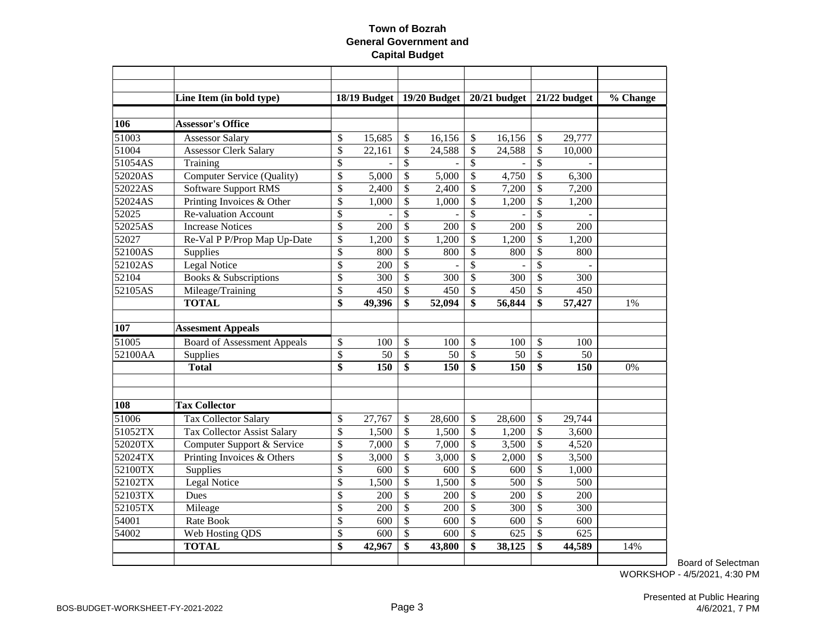|         | Line Item (in bold type)           |                 | 18/19 Budget |                           | 19/20 Budget     |                          | $20/21$ budget |                 | 21/22 budget | % Change |
|---------|------------------------------------|-----------------|--------------|---------------------------|------------------|--------------------------|----------------|-----------------|--------------|----------|
|         |                                    |                 |              |                           |                  |                          |                |                 |              |          |
| 106     | <b>Assessor's Office</b>           |                 |              |                           |                  |                          |                |                 |              |          |
| 51003   | <b>Assessor Salary</b>             | \$              | 15,685       | \$                        | 16,156           | \$                       | 16,156         | $\mathcal{S}$   | 29,777       |          |
| 51004   | <b>Assessor Clerk Salary</b>       | \$              | 22,161       | \$                        | 24,588           | \$                       | 24,588         | $\mathcal{S}$   | 10,000       |          |
| 51054AS | Training                           | \$              |              | \$                        |                  | $\mathcal{S}$            |                | $\mathcal{S}$   |              |          |
| 52020AS | <b>Computer Service (Quality)</b>  | \$              | 5,000        | \$                        | 5,000            | \$                       | 4,750          | \$              | 6,300        |          |
| 52022AS | <b>Software Support RMS</b>        | \$              | 2,400        | \$                        | 2,400            | \$                       | 7,200          | $\mathcal{S}$   | 7,200        |          |
| 52024AS | Printing Invoices & Other          | \$              | 1,000        | \$                        | 1,000            | \$                       | 1,200          | $\mathcal{S}$   | 1,200        |          |
| 52025   | <b>Re-valuation Account</b>        | $\overline{\$}$ |              | \$                        |                  | \$                       |                | \$              |              |          |
| 52025AS | <b>Increase Notices</b>            | \$              | 200          | \$                        | 200              | $\overline{\mathcal{S}}$ | 200            | $\mathcal{S}$   | 200          |          |
| 52027   | Re-Val P P/Prop Map Up-Date        | $\overline{\$}$ | 1,200        | $\overline{\$}$           | 1,200            | $\overline{\$}$          | 1,200          | $\overline{\$}$ | 1,200        |          |
| 52100AS | Supplies                           | \$              | 800          | \$                        | 800              | \$                       | 800            | \$              | 800          |          |
| 52102AS | Legal Notice                       | \$              | 200          | \$                        |                  | $\overline{\mathcal{S}}$ |                | $\overline{\$}$ |              |          |
| 52104   | <b>Books &amp; Subscriptions</b>   | \$              | 300          | \$                        | 300              | \$                       | 300            | $\mathcal{S}$   | 300          |          |
| 52105AS | Mileage/Training                   | \$              | 450          | $\boldsymbol{\mathsf{S}}$ | 450              | \$                       | 450            | \$              | 450          |          |
|         | <b>TOTAL</b>                       | \$              | 49,396       | \$                        | 52,094           | \$                       | 56,844         | $\mathbf{\$}$   | 57,427       | 1%       |
|         |                                    |                 |              |                           |                  |                          |                |                 |              |          |
| 107     | <b>Assesment Appeals</b>           |                 |              |                           |                  |                          |                |                 |              |          |
| 51005   | <b>Board of Assessment Appeals</b> | \$              | 100          | \$                        | 100              | \$                       | 100            | \$              | 100          |          |
| 52100AA | Supplies                           | \$              | 50           | \$                        | 50               | \$                       | 50             | \$              | 50           |          |
|         | <b>Total</b>                       | \$              | 150          | $\overline{\$}$           | $\overline{150}$ | $\overline{\$}$          | 150            | $\overline{\$}$ | 150          | 0%       |
|         |                                    |                 |              |                           |                  |                          |                |                 |              |          |
| 108     | <b>Tax Collector</b>               |                 |              |                           |                  |                          |                |                 |              |          |
| 51006   | <b>Tax Collector Salary</b>        | \$              | 27,767       | $\boldsymbol{\mathsf{S}}$ | 28,600           | \$                       | 28,600         | \$              | 29,744       |          |
| 51052TX | <b>Tax Collector Assist Salary</b> | \$              | 1,500        | \$                        | 1,500            | $\mathcal{S}$            | 1,200          | $\mathcal{S}$   | 3,600        |          |
| 52020TX | Computer Support & Service         | \$              | 7,000        | \$                        | 7,000            | $\mathcal{S}$            | 3,500          | \$              | 4,520        |          |
| 52024TX | Printing Invoices & Others         | \$              | 3,000        | \$                        | 3,000            | $\mathcal{S}$            | 2,000          | $\mathcal{S}$   | 3,500        |          |
| 52100TX | Supplies                           | \$              | 600          | \$                        | 600              | \$                       | 600            | \$              | 1,000        |          |
| 52102TX | Legal Notice                       | \$              | 1,500        | \$                        | 1,500            | \$                       | 500            | \$              | 500          |          |
| 52103TX | Dues                               | \$              | 200          | \$                        | 200              | \$                       | 200            | $\mathcal{S}$   | 200          |          |
| 52105TX | Mileage                            | $\overline{\$}$ | 200          | \$                        | 200              | \$                       | 300            | $\mathcal{S}$   | 300          |          |
| 54001   | Rate Book                          | \$              | 600          | \$                        | 600              | \$                       | 600            | \$              | 600          |          |
| 54002   | Web Hosting QDS                    | \$              | 600          | \$                        | 600              | \$                       | 625            | \$              | 625          |          |
|         | <b>TOTAL</b>                       | \$              | 42,967       | \$                        | 43,800           | \$                       | 38,125         | \$              | 44,589       | 14%      |
|         |                                    |                 |              |                           |                  |                          |                |                 |              |          |
|         |                                    |                 |              |                           |                  |                          |                |                 |              |          |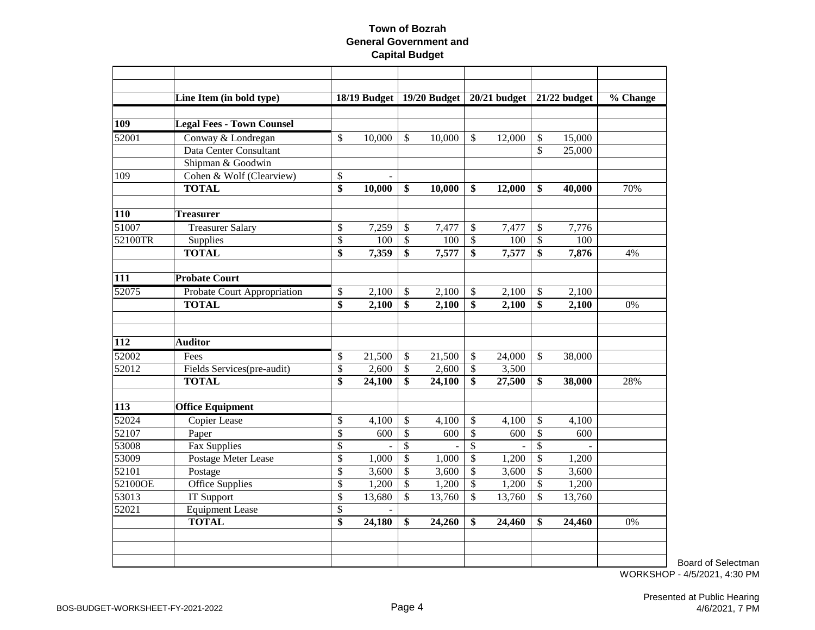|         | Line Item (in bold type)         |                          | 18/19 Budget |                 | 19/20 Budget |                          | $20/21$ budget |                    | 21/22 budget | % Change |
|---------|----------------------------------|--------------------------|--------------|-----------------|--------------|--------------------------|----------------|--------------------|--------------|----------|
| 109     | <b>Legal Fees - Town Counsel</b> |                          |              |                 |              |                          |                |                    |              |          |
| 52001   | Conway & Londregan               | \$                       | 10,000       | $\mathcal{S}$   | 10,000       | $\mathcal{S}$            | 12,000         | \$                 | 15,000       |          |
|         | Data Center Consultant           |                          |              |                 |              |                          |                | $\mathbf{\hat{S}}$ | 25,000       |          |
|         | Shipman & Goodwin                |                          |              |                 |              |                          |                |                    |              |          |
| 109     | Cohen & Wolf (Clearview)         | $\$$                     |              |                 |              |                          |                |                    |              |          |
|         | <b>TOTAL</b>                     | \$                       | 10,000       | \$              | 10,000       | \$                       | 12,000         | \$                 | 40,000       | 70%      |
| 110     | <b>Treasurer</b>                 |                          |              |                 |              |                          |                |                    |              |          |
| 51007   | <b>Treasurer Salary</b>          | \$                       | 7,259        | \$              | 7,477        | $\mathcal{S}$            | 7,477          | \$                 | 7,776        |          |
| 52100TR | Supplies                         | $\overline{\mathcal{S}}$ | 100          | $\mathcal{S}$   | 100          | $\overline{\mathcal{S}}$ | 100            | \$                 | 100          |          |
|         | <b>TOTAL</b>                     | $\overline{\$}$          | 7,359        | $\overline{\$}$ | 7,577        | $\overline{\$}$          | 7,577          | \$                 | 7,876        | 4%       |
| 111     | <b>Probate Court</b>             |                          |              |                 |              |                          |                |                    |              |          |
| 52075   | Probate Court Appropriation      | \$                       | 2,100        | $\mathcal{S}$   | 2,100        | $\mathcal{S}$            | 2,100          | \$                 | 2,100        |          |
|         | <b>TOTAL</b>                     | \$                       | 2,100        | \$              | 2,100        | \$                       | 2,100          | \$                 | 2,100        | 0%       |
|         |                                  |                          |              |                 |              |                          |                |                    |              |          |
| 112     | <b>Auditor</b>                   |                          |              |                 |              |                          |                |                    |              |          |
| 52002   | Fees                             | \$                       | 21,500       | $\mathcal{S}$   | 21,500       | $\mathcal{S}$            | 24,000         | $\mathbb{S}$       | 38,000       |          |
| 52012   | Fields Services(pre-audit)       | \$                       | 2,600        | $\mathcal{S}$   | 2,600        | $\mathcal{S}$            | 3,500          |                    |              |          |
|         | <b>TOTAL</b>                     | \$                       | 24,100       | \$              | 24,100       | \$                       | 27,500         | \$                 | 38,000       | 28%      |
| 113     | <b>Office Equipment</b>          |                          |              |                 |              |                          |                |                    |              |          |
| 52024   | <b>Copier Lease</b>              | \$                       | 4,100        | \$              | 4,100        | $\mathcal{S}$            | 4,100          | \$                 | 4,100        |          |
| 52107   | Paper                            | \$                       | 600          | \$              | 600          | \$                       | 600            | \$                 | 600          |          |
| 53008   | Fax Supplies                     | \$                       |              | $\mathbb{S}$    |              | $\mathcal{S}$            |                | $\mathbb{S}$       |              |          |
| 53009   | Postage Meter Lease              | \$                       | 1,000        | $\mathcal{S}$   | 1,000        | $\mathcal{S}$            | 1,200          | \$                 | 1,200        |          |
| 52101   | Postage                          | \$                       | 3,600        | $\mathcal{S}$   | 3,600        | $\mathcal{S}$            | 3,600          | $\mathsf{\$}$      | 3,600        |          |
| 52100OE | <b>Office Supplies</b>           | \$                       | 1,200        | $\mathcal{S}$   | 1,200        | $\mathcal{S}$            | 1,200          | \$                 | 1,200        |          |
| 53013   | <b>IT Support</b>                | \$                       | 13,680       | \$              | 13,760       | $\mathcal{S}$            | 13,760         | \$                 | 13,760       |          |
| 52021   | <b>Equipment Lease</b>           | \$                       |              |                 |              |                          |                |                    |              |          |
|         | <b>TOTAL</b>                     | \$                       | 24,180       | \$              | 24,260       | \$                       | 24,460         | \$                 | 24,460       | 0%       |
|         |                                  |                          |              |                 |              |                          |                |                    |              |          |
|         |                                  |                          |              |                 |              |                          |                |                    |              |          |
|         |                                  |                          |              |                 |              |                          |                |                    |              |          |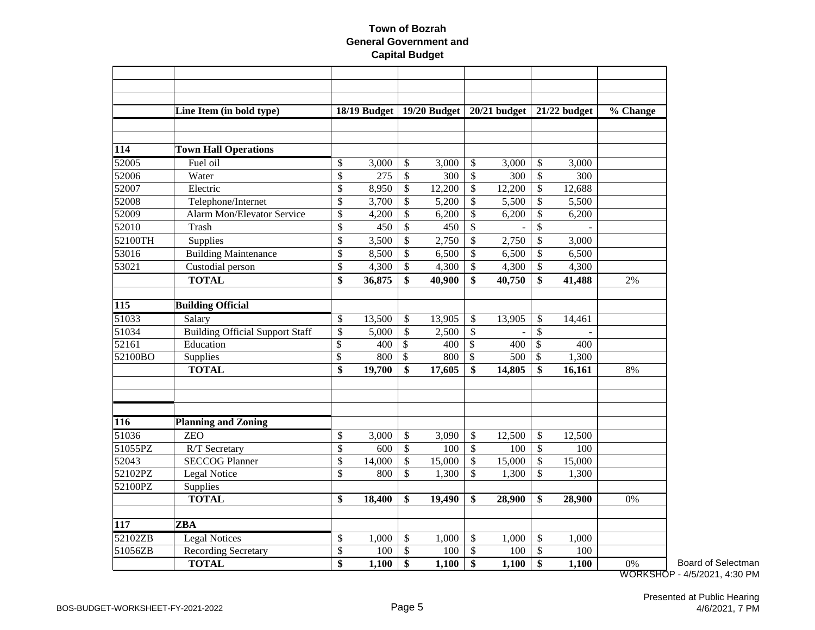|                      | Line Item (in bold type)               |                 | 18/19 Budget |                           | 19/20 Budget |                           | $20/21$ budget |                           | 21/22 budget | % Change |
|----------------------|----------------------------------------|-----------------|--------------|---------------------------|--------------|---------------------------|----------------|---------------------------|--------------|----------|
|                      |                                        |                 |              |                           |              |                           |                |                           |              |          |
|                      |                                        |                 |              |                           |              |                           |                |                           |              |          |
| 114                  | <b>Town Hall Operations</b>            |                 |              |                           |              |                           |                |                           |              |          |
| 52005                | Fuel oil                               | \$              | 3,000        | \$                        | 3,000        | \$                        | 3,000          | \$                        | 3,000        |          |
| 52006                | Water                                  | \$              | 275          | \$                        | 300          | $\boldsymbol{\mathsf{S}}$ | 300            | $\boldsymbol{\mathsf{S}}$ | 300          |          |
| 52007                | Electric                               | \$              | 8,950        | \$                        | 12,200       | \$                        | 12,200         | \$                        | 12,688       |          |
| 52008                | Telephone/Internet                     | \$              | 3,700        | \$                        | 5,200        | \$                        | 5,500          | $\mathcal{S}$             | 5,500        |          |
| 52009                | <b>Alarm Mon/Elevator Service</b>      | $\overline{\$}$ | 4,200        | $\overline{\$}$           | 6,200        | $\boldsymbol{\mathsf{S}}$ | 6,200          | $\overline{\mathcal{S}}$  | 6,200        |          |
| 52010                | Trash                                  | \$              | 450          | \$                        | 450          | \$                        |                | \$                        |              |          |
| 52100TH              | Supplies                               | \$              | 3,500        | \$                        | 2,750        | \$                        | 2,750          | $\mathcal{S}$             | 3,000        |          |
| 53016                | <b>Building Maintenance</b>            | \$              | 8,500        | \$                        | 6,500        | $\mathcal{S}$             | 6,500          | \$                        | 6,500        |          |
| 53021                | Custodial person                       | \$              | 4,300        | \$                        | 4,300        | \$                        | 4,300          | \$                        | 4,300        |          |
|                      | <b>TOTAL</b>                           | \$              | 36,875       | \$                        | 40,900       | \$                        | 40,750         | \$                        | 41,488       | 2%       |
|                      |                                        |                 |              |                           |              |                           |                |                           |              |          |
| 115                  | <b>Building Official</b>               |                 |              |                           |              |                           |                |                           |              |          |
| 51033                | Salary                                 | \$              | 13,500       | \$                        | 13,905       | \$                        | 13,905         | \$                        | 14,461       |          |
| 51034                | <b>Building Official Support Staff</b> | \$              | 5,000        | $\boldsymbol{\mathsf{S}}$ | 2,500        | \$                        |                | \$                        |              |          |
| 52161                | Education                              | \$              | 400          | $\boldsymbol{\mathsf{S}}$ | 400          | \$                        | 400            | $\boldsymbol{\mathsf{S}}$ | 400          |          |
| 52100BO              | Supplies                               | $\overline{\$}$ | 800          | $\overline{\$}$           | 800          | $\overline{\$}$           | 500            | $\overline{\$}$           | 1,300        |          |
|                      | <b>TOTAL</b>                           | \$              | 19,700       | \$                        | 17,605       | \$                        | 14,805         | $\overline{\$}$           | 16,161       | 8%       |
|                      |                                        |                 |              |                           |              |                           |                |                           |              |          |
|                      |                                        |                 |              |                           |              |                           |                |                           |              |          |
|                      |                                        |                 |              |                           |              |                           |                |                           |              |          |
| 116                  | <b>Planning and Zoning</b>             |                 |              |                           |              |                           |                |                           |              |          |
| 51036                | <b>ZEO</b>                             | \$              | 3,000        | $\boldsymbol{\mathsf{S}}$ | 3,090        | \$                        | 12,500         | $\mathcal{S}$             | 12,500       |          |
| 51055PZ              | R/T Secretary                          | \$              | 600          | $\boldsymbol{\mathsf{S}}$ | 100          | $\boldsymbol{\mathsf{S}}$ | 100            | \$                        | 100          |          |
| 52043                | <b>SECCOG Planner</b>                  | \$              | 14,000       | \$                        | 15,000       | \$                        | 15,000         | \$                        | 15,000       |          |
| 52102PZ              | <b>Legal Notice</b>                    | \$              | 800          | \$                        | 1,300        | \$                        | 1,300          | \$                        | 1,300        |          |
| 52100PZ              | Supplies                               |                 |              |                           |              |                           |                |                           |              |          |
|                      | <b>TOTAL</b>                           | \$              | 18,400       | \$                        | 19,490       | \$                        | 28,900         | \$                        | 28,900       | 0%       |
|                      |                                        |                 |              |                           |              |                           |                |                           |              |          |
| 117                  | <b>ZBA</b>                             |                 |              |                           |              |                           |                |                           |              |          |
| 52102ZB              | <b>Legal Notices</b>                   | \$              | 1,000        | \$                        | 1,000        | \$                        | 1,000          | \$                        | 1,000        |          |
| $\overline{51}056ZB$ | <b>Recording Secretary</b>             | \$              | 100          | $\overline{\$}$           | 100          | $\overline{\$}$           | 100            | $\boldsymbol{\mathsf{S}}$ | 100          |          |
|                      | <b>TOTAL</b>                           | \$              | 1,100        | \$                        | 1,100        | \$                        | 1,100          | \$                        | 1,100        | 0%       |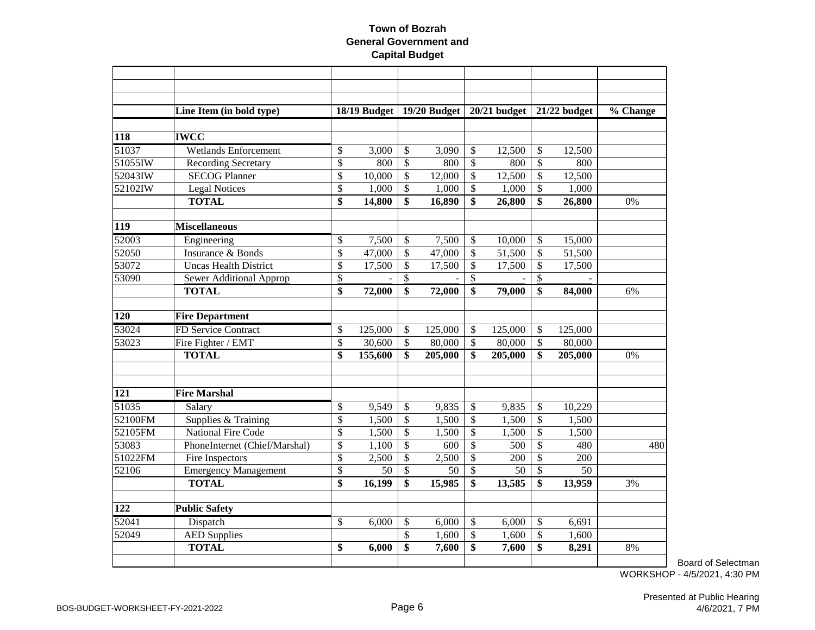|            | Line Item (in bold type)       |                 |         |                           | 18/19 Budget   19/20 Budget |                           | $20/21$ budget |                          | 21/22 budget | % Change |
|------------|--------------------------------|-----------------|---------|---------------------------|-----------------------------|---------------------------|----------------|--------------------------|--------------|----------|
|            |                                |                 |         |                           |                             |                           |                |                          |              |          |
| 118        | <b>IWCC</b>                    |                 |         |                           |                             |                           |                |                          |              |          |
| 51037      | <b>Wetlands Enforcement</b>    | \$              | 3,000   | \$                        | 3,090                       | $\mathcal{S}$             | 12,500         | \$                       | 12,500       |          |
| 51055IW    | <b>Recording Secretary</b>     | \$              | 800     | \$                        | 800                         | \$                        | 800            | \$                       | 800          |          |
| 52043IW    | <b>SECOG Planner</b>           | \$              | 10,000  | \$                        | 12,000                      | \$                        | 12,500         | \$                       | 12,500       |          |
| 52102IW    | <b>Legal Notices</b>           | $\overline{\$}$ | 1,000   | \$                        | 1,000                       | \$                        | 1,000          | $\overline{\$}$          | 1,000        |          |
|            | <b>TOTAL</b>                   | \$              | 14,800  | \$                        | 16,890                      | \$                        | 26,800         | \$                       | 26,800       | 0%       |
| <b>119</b> | <b>Miscellaneous</b>           |                 |         |                           |                             |                           |                |                          |              |          |
| 52003      | Engineering                    | \$              | 7,500   | \$                        | 7,500                       | \$                        | 10,000         | $\mathsf{\$}$            | 15,000       |          |
| 52050      | Insurance & Bonds              | \$              | 47,000  | $\mathbb{S}$              | 47,000                      | \$                        | 51,500         | $\mathsf{\$}$            | 51,500       |          |
| 53072      | <b>Uncas Health District</b>   | \$              | 17,500  | \$                        | 17,500                      | \$                        | 17,500         | $\mathcal{S}$            | 17,500       |          |
| 53090      | <b>Sewer Additional Approp</b> | \$              |         | \$                        |                             | $\mathcal{S}$             |                | \$                       |              |          |
|            | <b>TOTAL</b>                   | \$              | 72,000  | \$                        | 72,000                      | \$                        | 79,000         | \$                       | 84,000       | 6%       |
| 120        | <b>Fire Department</b>         |                 |         |                           |                             |                           |                |                          |              |          |
| 53024      | FD Service Contract            | \$              | 125,000 | \$                        | 125,000                     | \$                        | 125,000        | \$                       | 125,000      |          |
| 53023      | Fire Fighter / EMT             | \$              | 30,600  | $\boldsymbol{\mathsf{S}}$ | 80,000                      | \$                        | 80,000         | \$                       | 80,000       |          |
|            | <b>TOTAL</b>                   | \$              | 155,600 | \$                        | 205,000                     | \$                        | 205,000        | \$                       | 205,000      | 0%       |
|            |                                |                 |         |                           |                             |                           |                |                          |              |          |
|            |                                |                 |         |                           |                             |                           |                |                          |              |          |
| 121        | <b>Fire Marshal</b>            |                 |         |                           |                             |                           |                |                          |              |          |
| 51035      | Salary                         | \$              | 9,549   | \$                        | 9,835                       | $\mathcal{S}$             | 9,835          | \$                       | 10,229       |          |
| 52100FM    | Supplies & Training            | \$              | 1,500   | $\boldsymbol{\mathsf{S}}$ | 1,500                       | $\boldsymbol{\mathsf{S}}$ | 1,500          | $\mathcal{S}$            | 1,500        |          |
| 52105FM    | <b>National Fire Code</b>      | \$              | 1,500   | $\boldsymbol{\mathsf{S}}$ | 1,500                       | $\mathcal{S}$             | 1,500          | $\overline{\$}$          | 1,500        |          |
| 53083      | PhoneInternet (Chief/Marshal)  | \$              | 1,100   | \$                        | 600                         | \$                        | 500            | \$                       | 480          | 480      |
| 51022FM    | Fire Inspectors                | \$              | 2,500   | \$                        | 2,500                       | \$                        | 200            | \$                       | 200          |          |
| 52106      | <b>Emergency Management</b>    | $\overline{\$}$ | 50      | $\boldsymbol{\mathsf{S}}$ | 50                          | $\mathcal{S}$             | 50             | \$                       | 50           |          |
|            | <b>TOTAL</b>                   | \$              | 16,199  | \$                        | 15,985                      | \$                        | 13,585         | \$                       | 13,959       | 3%       |
| 122        | <b>Public Safety</b>           |                 |         |                           |                             |                           |                |                          |              |          |
| 52041      | Dispatch                       | \$              | 6,000   | \$                        | 6,000                       | $\mathcal{S}$             | 6,000          | \$                       | 6,691        |          |
| 52049      | <b>AED Supplies</b>            |                 |         | $\overline{\mathbb{S}}$   | 1,600                       | $\overline{\mathcal{S}}$  | 1,600          | $\overline{\mathcal{S}}$ | 1,600        |          |
|            | <b>TOTAL</b>                   | \$              | 6,000   | \$                        | 7,600                       | \$                        | 7,600          | $\overline{\$}$          | 8,291        | 8%       |
|            |                                |                 |         |                           |                             |                           |                |                          |              |          |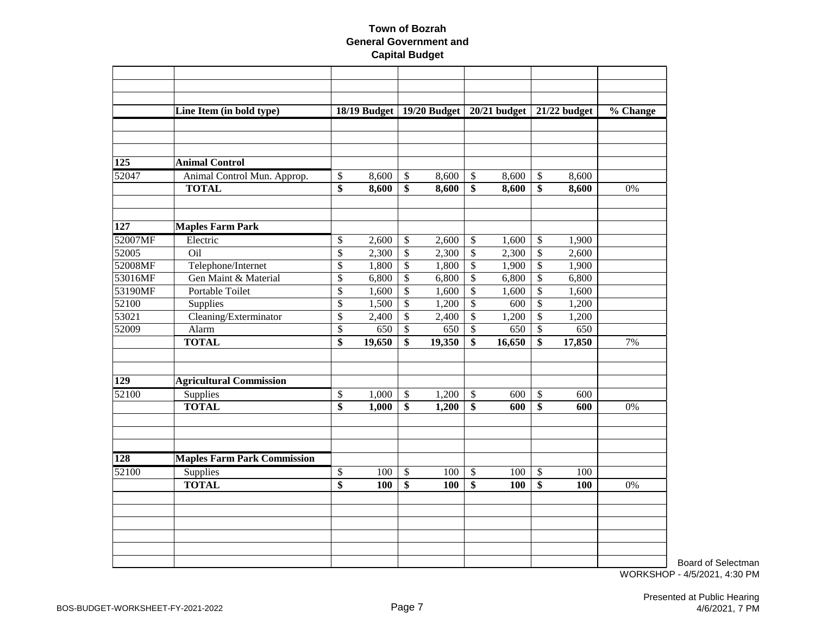|         | Line Item (in bold type)           |                          | 18/19 Budget   19/20 Budget   20/21 budget |                           |        |                           |        |                           | 21/22 budget | % Change |
|---------|------------------------------------|--------------------------|--------------------------------------------|---------------------------|--------|---------------------------|--------|---------------------------|--------------|----------|
|         |                                    |                          |                                            |                           |        |                           |        |                           |              |          |
|         |                                    |                          |                                            |                           |        |                           |        |                           |              |          |
|         |                                    |                          |                                            |                           |        |                           |        |                           |              |          |
| 125     | <b>Animal Control</b>              |                          |                                            |                           |        |                           |        |                           |              |          |
| 52047   | Animal Control Mun. Approp.        | \$                       | 8,600                                      | $\boldsymbol{\mathsf{S}}$ | 8,600  | $\boldsymbol{\mathsf{S}}$ | 8,600  | \$                        | 8,600        |          |
|         | <b>TOTAL</b>                       | $\overline{\$}$          | 8,600                                      | $\overline{\$}$           | 8,600  | \$                        | 8,600  | $\overline{\$}$           | 8,600        | 0%       |
|         |                                    |                          |                                            |                           |        |                           |        |                           |              |          |
|         |                                    |                          |                                            |                           |        |                           |        |                           |              |          |
| 127     | <b>Maples Farm Park</b>            |                          |                                            |                           |        |                           |        |                           |              |          |
| 52007MF | Electric                           | \$                       | 2,600                                      | $\boldsymbol{\mathsf{S}}$ | 2,600  | $\boldsymbol{\mathsf{S}}$ | 1,600  | \$                        | 1,900        |          |
| 52005   | Oil                                | $\overline{\mathcal{S}}$ | 2,300                                      | $\overline{\mathcal{S}}$  | 2,300  | $\mathcal{S}$             | 2,300  | $\overline{\mathcal{S}}$  | 2,600        |          |
| 52008MF | Telephone/Internet                 | \$                       | 1,800                                      | $\boldsymbol{\mathsf{S}}$ | 1,800  | $\sqrt{3}$                | 1,900  | $\boldsymbol{\mathsf{S}}$ | 1,900        |          |
| 53016MF | Gen Maint & Material               | \$                       | 6,800                                      | $\overline{\mathcal{S}}$  | 6,800  | \$                        | 6,800  | \$                        | 6,800        |          |
| 53190MF | Portable Toilet                    | \$                       | 1,600                                      | \$                        | 1,600  | \$                        | 1,600  | \$                        | 1,600        |          |
| 52100   | Supplies                           | \$                       | 1,500                                      | $\boldsymbol{\mathsf{S}}$ | 1,200  | \$                        | 600    | \$                        | 1,200        |          |
| 53021   | Cleaning/Exterminator              | \$                       | 2,400                                      | \$                        | 2,400  | $\boldsymbol{\mathsf{S}}$ | 1,200  | \$                        | 1,200        |          |
| 52009   | Alarm                              | \$                       | 650                                        | $\boldsymbol{\mathsf{S}}$ | 650    | $\boldsymbol{\mathsf{S}}$ | 650    | $\boldsymbol{\mathsf{S}}$ | 650          |          |
|         | <b>TOTAL</b>                       | $\overline{\$}$          | 19,650                                     | \$                        | 19,350 | $\overline{\$}$           | 16,650 | $\overline{\$}$           | 17,850       | 7%       |
|         |                                    |                          |                                            |                           |        |                           |        |                           |              |          |
|         |                                    |                          |                                            |                           |        |                           |        |                           |              |          |
| 129     | <b>Agricultural Commission</b>     |                          |                                            |                           |        |                           |        |                           |              |          |
| 52100   | Supplies                           | \$                       | 1,000                                      | $\sqrt[6]{3}$             | 1,200  | $\boldsymbol{\mathsf{S}}$ | 600    | $\boldsymbol{\mathsf{S}}$ | 600          |          |
|         | <b>TOTAL</b>                       | \$                       | 1,000                                      | $\overline{\$}$           | 1,200  | \$                        | 600    | \$                        | 600          | 0%       |
|         |                                    |                          |                                            |                           |        |                           |        |                           |              |          |
|         |                                    |                          |                                            |                           |        |                           |        |                           |              |          |
|         |                                    |                          |                                            |                           |        |                           |        |                           |              |          |
| 128     | <b>Maples Farm Park Commission</b> |                          |                                            |                           |        |                           |        |                           |              |          |
| 52100   | Supplies                           | \$                       | 100                                        | $\boldsymbol{\mathsf{S}}$ | 100    | $\boldsymbol{\mathsf{S}}$ | 100    | $\boldsymbol{\$}$         | 100          |          |
|         | <b>TOTAL</b>                       | \$                       | 100                                        | \$                        | 100    | \$                        | 100    | \$                        | 100          | 0%       |
|         |                                    |                          |                                            |                           |        |                           |        |                           |              |          |
|         |                                    |                          |                                            |                           |        |                           |        |                           |              |          |
|         |                                    |                          |                                            |                           |        |                           |        |                           |              |          |
|         |                                    |                          |                                            |                           |        |                           |        |                           |              |          |
|         |                                    |                          |                                            |                           |        |                           |        |                           |              |          |
|         |                                    |                          |                                            |                           |        |                           |        |                           |              |          |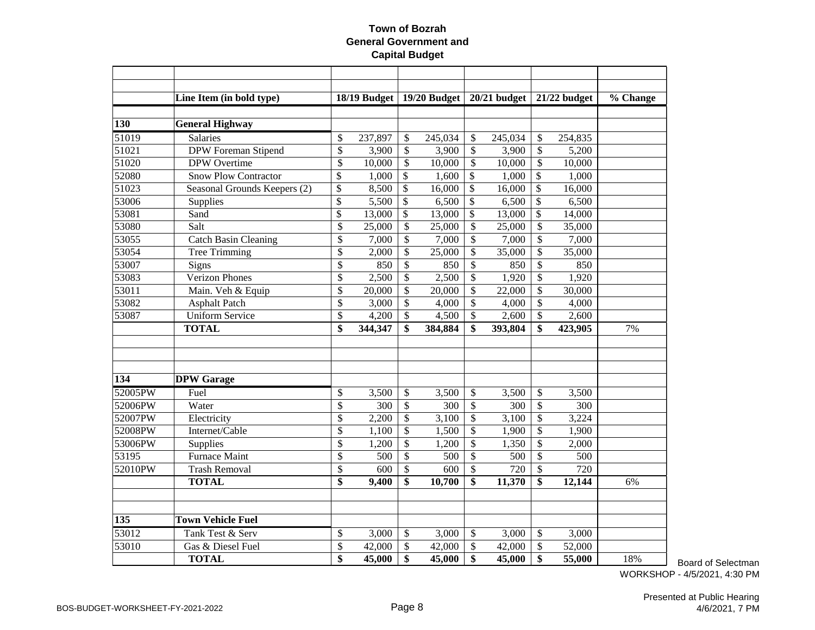|         | Line Item (in bold type)     |                          | 18/19 Budget |                           | 19/20 Budget |                           | 20/21 budget |                           | 21/22 budget | % Change |
|---------|------------------------------|--------------------------|--------------|---------------------------|--------------|---------------------------|--------------|---------------------------|--------------|----------|
|         |                              |                          |              |                           |              |                           |              |                           |              |          |
| 130     | <b>General Highway</b>       |                          |              |                           |              |                           |              |                           |              |          |
| 51019   | Salaries                     | \$                       | 237,897      | \$                        | 245,034      | \$                        | 245,034      | \$                        | 254,835      |          |
| 51021   | <b>DPW</b> Foreman Stipend   | \$                       | 3,900        | \$                        | 3,900        | $\boldsymbol{\mathsf{S}}$ | 3,900        | $\boldsymbol{\mathsf{S}}$ | 5,200        |          |
| 51020   | <b>DPW</b> Overtime          | \$                       | 10,000       | \$                        | 10,000       | \$                        | 10,000       | \$                        | 10,000       |          |
| 52080   | <b>Snow Plow Contractor</b>  | \$                       | 1,000        | \$                        | 1,600        | \$                        | 1,000        | \$                        | 1,000        |          |
| 51023   | Seasonal Grounds Keepers (2) | \$                       | 8,500        | \$                        | 16,000       | \$                        | 16,000       | \$                        | 16,000       |          |
| 53006   | Supplies                     | \$                       | 5,500        | \$                        | 6,500        | \$                        | 6,500        | \$                        | 6,500        |          |
| 53081   | Sand                         | \$                       | 13,000       | \$                        | 13,000       | \$                        | 13,000       | \$                        | 14,000       |          |
| 53080   | Salt                         | \$                       | 25,000       | \$                        | 25,000       | \$                        | 25,000       | \$                        | 35,000       |          |
| 53055   | <b>Catch Basin Cleaning</b>  | \$                       | 7,000        | \$                        | 7,000        | \$                        | 7,000        | $\boldsymbol{\mathsf{S}}$ | 7,000        |          |
| 53054   | <b>Tree Trimming</b>         | \$                       | 2,000        | \$                        | 25,000       | \$                        | 35,000       | \$                        | 35,000       |          |
| 53007   | Signs                        | \$                       | 850          | \$                        | 850          | \$                        | 850          | \$                        | 850          |          |
| 53083   | <b>Verizon Phones</b>        | \$                       | 2,500        | \$                        | 2,500        | \$                        | 1,920        | \$                        | 1,920        |          |
| 53011   | Main. Veh & Equip            | \$                       | 20,000       | \$                        | 20,000       | \$                        | 22,000       | $\mathbb{S}$              | 30,000       |          |
| 53082   | <b>Asphalt Patch</b>         | \$                       | 3,000        | \$                        | 4,000        | \$                        | 4,000        | \$                        | 4,000        |          |
| 53087   | <b>Uniform Service</b>       | \$                       | 4,200        | \$                        | 4,500        | \$                        | 2,600        | \$                        | 2,600        |          |
|         | <b>TOTAL</b>                 | \$                       | 344,347      | \$                        | 384,884      | \$                        | 393,804      | \$                        | 423,905      | 7%       |
|         |                              |                          |              |                           |              |                           |              |                           |              |          |
|         |                              |                          |              |                           |              |                           |              |                           |              |          |
|         |                              |                          |              |                           |              |                           |              |                           |              |          |
| 134     | <b>DPW</b> Garage            |                          |              |                           |              |                           |              |                           |              |          |
| 52005PW | Fuel                         | \$                       | 3,500        | \$                        | 3,500        | \$                        | 3,500        | \$                        | 3,500        |          |
| 52006PW | Water                        | $\overline{\mathcal{S}}$ | 300          | \$                        | 300          | $\boldsymbol{\mathsf{S}}$ | 300          | \$                        | 300          |          |
| 52007PW | Electricity                  | \$                       | 2,200        | \$                        | 3,100        | \$                        | 3,100        | $\boldsymbol{\mathsf{S}}$ | 3,224        |          |
| 52008PW | Internet/Cable               | \$                       | 1,100        | \$                        | 1,500        | \$                        | 1,900        | \$                        | 1,900        |          |
| 53006PW | Supplies                     | \$                       | 1,200        | \$                        | 1,200        | \$                        | 1,350        | \$                        | 2,000        |          |
| 53195   | <b>Furnace Maint</b>         | \$                       | 500          | \$                        | 500          | \$                        | 500          | \$                        | 500          |          |
| 52010PW | <b>Trash Removal</b>         | \$                       | 600          | \$                        | 600          | \$                        | 720          | \$                        | 720          |          |
|         | <b>TOTAL</b>                 | \$                       | 9,400        | \$                        | 10,700       | \$                        | 11,370       | \$                        | 12,144       | 6%       |
|         |                              |                          |              |                           |              |                           |              |                           |              |          |
| 135     | <b>Town Vehicle Fuel</b>     |                          |              |                           |              |                           |              |                           |              |          |
| 53012   | Tank Test & Serv             | \$                       | 3,000        | \$                        | 3,000        | \$                        | 3,000        | \$                        | 3,000        |          |
| 53010   | Gas & Diesel Fuel            | \$                       | 42,000       | $\boldsymbol{\mathsf{S}}$ | 42,000       | \$                        | 42,000       | $\mathcal{S}$             | 52,000       |          |
|         | <b>TOTAL</b>                 | \$                       | 45,000       | \$                        | 45,000       | \$                        | 45,000       | \$                        | 55,000       | 18%      |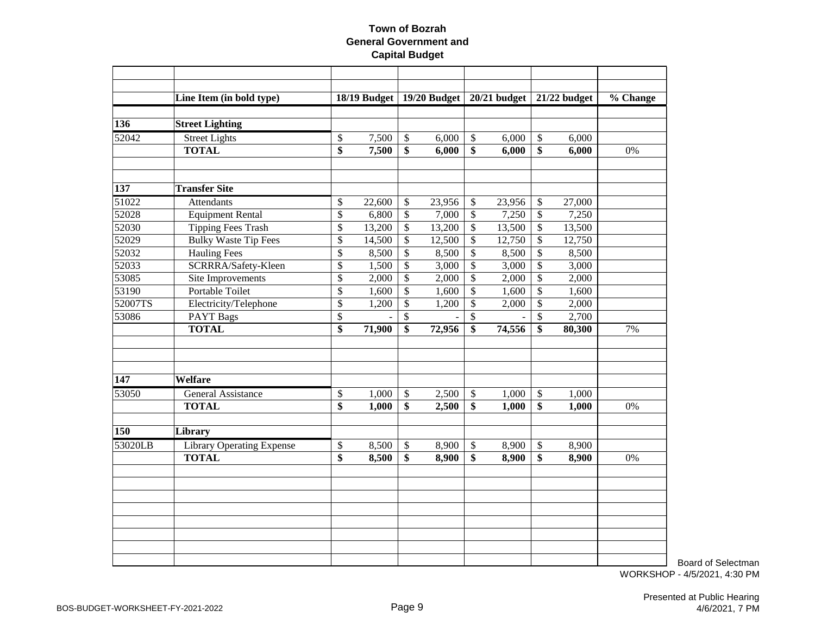|         | Line Item (in bold type)         | 18/19 Budget |                           | 19/20 Budget |                           | $20/21$ budget |                           | 21/22 budget | % Change |
|---------|----------------------------------|--------------|---------------------------|--------------|---------------------------|----------------|---------------------------|--------------|----------|
|         |                                  |              |                           |              |                           |                |                           |              |          |
| 136     | <b>Street Lighting</b>           |              |                           |              |                           |                |                           |              |          |
| 52042   | <b>Street Lights</b>             | \$<br>7,500  | $\sqrt[6]{\frac{1}{2}}$   | 6,000        | $\mathcal{S}$             | 6,000          | $\mathcal{S}$             | 6,000        |          |
|         | <b>TOTAL</b>                     | \$<br>7,500  | \$                        | 6,000        | \$                        | 6,000          | \$                        | 6,000        | 0%       |
|         |                                  |              |                           |              |                           |                |                           |              |          |
| 137     | <b>Transfer Site</b>             |              |                           |              |                           |                |                           |              |          |
| 51022   | <b>Attendants</b>                | \$<br>22,600 | \$                        | 23,956       | \$                        | 23,956         | \$                        | 27,000       |          |
| 52028   | <b>Equipment Rental</b>          | \$<br>6,800  | \$                        | 7,000        | \$                        | 7,250          | \$                        | 7,250        |          |
| 52030   | <b>Tipping Fees Trash</b>        | \$<br>13,200 | $\boldsymbol{\mathsf{S}}$ | 13,200       | $\mathcal{S}$             | 13,500         | \$                        | 13,500       |          |
| 52029   | <b>Bulky Waste Tip Fees</b>      | \$<br>14,500 | \$                        | 12,500       | $\mathcal{S}$             | 12,750         | $\overline{\$}$           | 12,750       |          |
| 52032   | <b>Hauling Fees</b>              | \$<br>8,500  | \$                        | 8,500        | \$                        | 8,500          | \$                        | 8,500        |          |
| 52033   | SCRRRA/Safety-Kleen              | \$<br>1,500  | \$                        | 3,000        | $\mathcal{S}$             | 3,000          | \$                        | 3,000        |          |
| 53085   | Site Improvements                | \$<br>2,000  | \$                        | 2,000        | $\mathcal{S}$             | 2,000          | \$                        | 2,000        |          |
| 53190   | Portable Toilet                  | \$<br>1,600  | $\boldsymbol{\mathsf{S}}$ | 1,600        | $\mathcal{S}$             | 1,600          | $\mathcal{S}$             | 1,600        |          |
| 52007TS | Electricity/Telephone            | \$<br>1,200  | \$                        | 1,200        | $\boldsymbol{\mathsf{S}}$ | 2,000          | \$                        | 2,000        |          |
| 53086   | <b>PAYT Bags</b>                 | \$           | \$                        |              | \$                        |                | $\mathcal{S}$             | 2,700        |          |
|         | <b>TOTAL</b>                     | \$<br>71,900 | \$                        | 72,956       | \$                        | 74,556         | \$                        | 80,300       | 7%       |
|         |                                  |              |                           |              |                           |                |                           |              |          |
|         |                                  |              |                           |              |                           |                |                           |              |          |
| 147     | Welfare                          |              |                           |              |                           |                |                           |              |          |
| 53050   | General Assistance               | \$<br>1,000  | $\boldsymbol{\mathsf{S}}$ | 2,500        | $\boldsymbol{\mathsf{S}}$ | 1,000          | $\boldsymbol{\mathsf{S}}$ | 1,000        |          |
|         | <b>TOTAL</b>                     | \$<br>1,000  | \$                        | 2,500        | \$                        | 1,000          | $\mathbf{\$}$             | 1,000        | 0%       |
|         |                                  |              |                           |              |                           |                |                           |              |          |
| 150     | Library                          |              |                           |              |                           |                |                           |              |          |
| 53020LB | <b>Library Operating Expense</b> | \$<br>8,500  | $\boldsymbol{\mathsf{S}}$ | 8,900        | $\mathcal{S}$             | $\sqrt{8,900}$ | $\boldsymbol{\mathsf{S}}$ | 8,900        |          |
|         | <b>TOTAL</b>                     | \$<br>8,500  | \$                        | 8,900        | \$                        | 8,900          | \$                        | 8,900        | 0%       |
|         |                                  |              |                           |              |                           |                |                           |              |          |
|         |                                  |              |                           |              |                           |                |                           |              |          |
|         |                                  |              |                           |              |                           |                |                           |              |          |
|         |                                  |              |                           |              |                           |                |                           |              |          |
|         |                                  |              |                           |              |                           |                |                           |              |          |
|         |                                  |              |                           |              |                           |                |                           |              |          |
|         |                                  |              |                           |              |                           |                |                           |              |          |
|         |                                  |              |                           |              |                           |                |                           |              |          |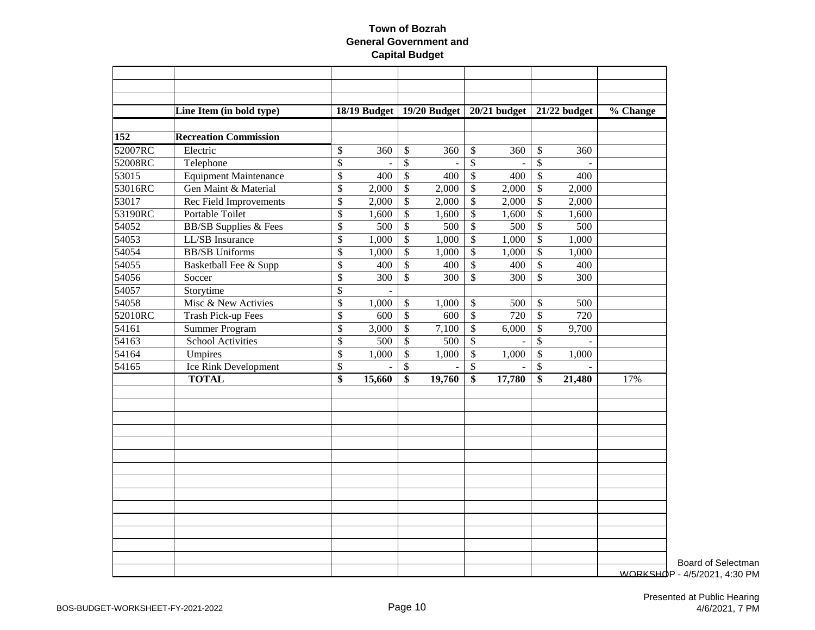|         | Line Item (in bold type)     |                          |                  |                           | 18/19 Budget   19/20 Budget |                 | $20/21$ budget   |                          | $21/22$ budget | % Change        |
|---------|------------------------------|--------------------------|------------------|---------------------------|-----------------------------|-----------------|------------------|--------------------------|----------------|-----------------|
|         |                              |                          |                  |                           |                             |                 |                  |                          |                |                 |
| 152     | <b>Recreation Commission</b> |                          |                  |                           |                             |                 |                  |                          |                |                 |
| 52007RC | Electric                     | \$                       | 360              | \$                        | 360                         | \$              | 360              | \$                       | 360            |                 |
| 52008RC | Telephone                    | $\overline{\$}$          |                  | $\boldsymbol{\mathsf{S}}$ | $\blacksquare$              | $\overline{\$}$ |                  | $\overline{\mathcal{S}}$ |                |                 |
| 53015   | <b>Equipment Maintenance</b> | \$                       | $\overline{400}$ | $\overline{\$}$           | $\overline{400}$            | $\overline{\$}$ | $\overline{400}$ | $\overline{\$}$          | 400            |                 |
| 53016RC | Gen Maint & Material         | $\overline{\$}$          | 2,000            | $\overline{\$}$           | 2,000                       | $\overline{\$}$ | 2,000            | $\overline{\$}$          | 2,000          |                 |
| 53017   | Rec Field Improvements       | \$                       | 2,000            | $\overline{\$}$           | 2,000                       | $\overline{\$}$ | 2,000            | $\overline{\mathcal{S}}$ | 2,000          |                 |
| 53190RC | <b>Portable Toilet</b>       | $\overline{\mathcal{S}}$ | 1,600            | $\overline{\$}$           | 1,600                       | $\overline{\$}$ | 1,600            | $\overline{\mathcal{S}}$ | 1,600          |                 |
| 54052   | <b>BB/SB</b> Supplies & Fees | \$                       | 500              | \$                        | 500                         | $\overline{\$}$ | $\overline{500}$ | \$                       | 500            |                 |
| 54053   | LL/SB Insurance              | $\overline{\$}$          | 1,000            | $\overline{\$}$           | 1,000                       | $\overline{\$}$ | 1,000            | $\overline{\$}$          | 1,000          |                 |
| 54054   | <b>BB/SB</b> Uniforms        | \$                       | 1,000            | \$                        | 1,000                       | \$              | 1,000            | \$                       | 1,000          |                 |
| 54055   | Basketball Fee & Supp        | $\overline{\$}$          | 400              | $\overline{\$}$           | 400                         | $\overline{\$}$ | 400              | $\overline{\$}$          | 400            |                 |
| 54056   | Soccer                       | \$                       | 300              | \$                        | 300                         | $\$\,$          | 300              | \$                       | 300            |                 |
| 54057   | Storytime                    | $\overline{\$}$          |                  |                           |                             |                 |                  |                          |                |                 |
| 54058   | Misc & New Activies          | \$                       | 1,000            | \$                        | 1,000                       | \$              | 500              | \$                       | 500            |                 |
| 52010RC | <b>Trash Pick-up Fees</b>    | \$                       | 600              | \$                        | 600                         | $\overline{\$}$ | 720              | \$                       | 720            |                 |
| 54161   | <b>Summer Program</b>        | \$                       | 3,000            | \$                        | 7,100                       | $\$\,$          | 6,000            | \$                       | 9,700          |                 |
| 54163   | <b>School Activities</b>     | \$                       | 500              | \$                        | 500                         | \$              |                  | \$                       |                |                 |
| 54164   | Umpires                      | \$                       | 1,000            | \$                        | 1,000                       | \$              | 1,000            | \$                       | 1,000          |                 |
| 54165   | Ice Rink Development         | \$                       |                  | $\mathcal{S}$             |                             | \$              |                  | $\mathcal{S}$            |                |                 |
|         | <b>TOTAL</b>                 | \$                       | 15,660           | \$                        | 19,760                      | $\overline{\$}$ | 17,780           | \$                       | 21,480         | 17%             |
|         |                              |                          |                  |                           |                             |                 |                  |                          |                |                 |
|         |                              |                          |                  |                           |                             |                 |                  |                          |                |                 |
|         |                              |                          |                  |                           |                             |                 |                  |                          |                |                 |
|         |                              |                          |                  |                           |                             |                 |                  |                          |                |                 |
|         |                              |                          |                  |                           |                             |                 |                  |                          |                |                 |
|         |                              |                          |                  |                           |                             |                 |                  |                          |                |                 |
|         |                              |                          |                  |                           |                             |                 |                  |                          |                | <b>WORKSHOF</b> |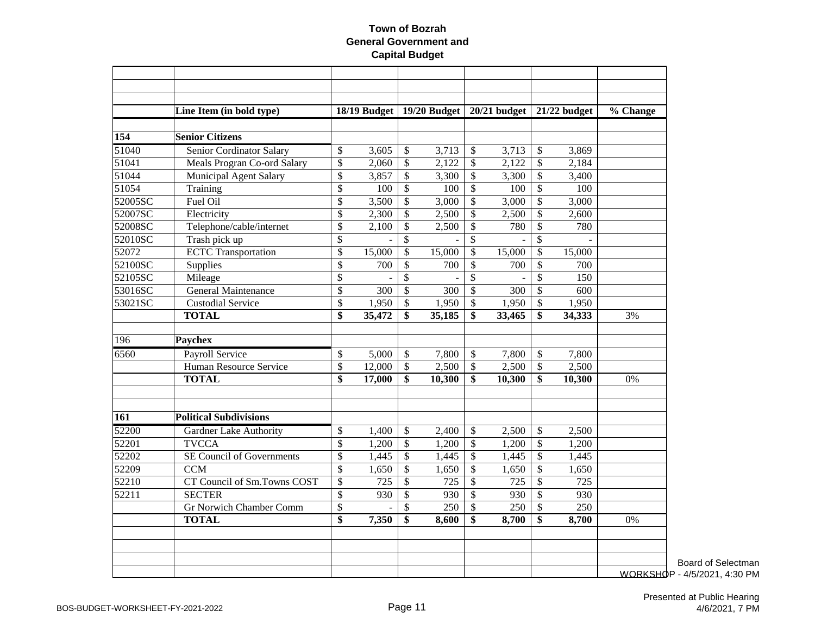|         | Line Item (in bold type)       |                           | 18/19 Budget |                          | 19/20 Budget     |                           | $20/21$ budget |                          | $21/22$ budget   | % Change       |
|---------|--------------------------------|---------------------------|--------------|--------------------------|------------------|---------------------------|----------------|--------------------------|------------------|----------------|
|         |                                |                           |              |                          |                  |                           |                |                          |                  |                |
| 154     | <b>Senior Citizens</b>         |                           |              |                          |                  |                           |                |                          |                  |                |
| 51040   | Senior Cordinator Salary       | \$                        | 3,605        | \$                       | 3,713            | \$                        | 3,713          | \$                       | 3,869            |                |
| 51041   | Meals Progran Co-ord Salary    | \$                        | 2,060        | $\overline{\$}$          | 2,122            | $\mathcal{S}$             | 2,122          | $\mathcal{S}$            | 2,184            |                |
| 51044   | <b>Municipal Agent Salary</b>  | $\boldsymbol{\mathsf{S}}$ | 3,857        | \$                       | 3,300            | $\mathcal{S}$             | 3,300          | $\mathcal{S}$            | 3,400            |                |
| 51054   | Training                       | $\overline{\$}$           | 100          | $\overline{\$}$          | 100              | $\mathcal{S}$             | 100            | \$                       | 100              |                |
| 52005SC | Fuel Oil                       | \$                        | 3,500        | \$                       | 3,000            | $\mathcal{S}$             | 3,000          | $\mathbb{S}$             | 3,000            |                |
| 52007SC | Electricity                    | \$                        | 2,300        | \$                       | 2,500            | \$                        | 2,500          | \$                       | 2,600            |                |
| 52008SC | Telephone/cable/internet       | \$                        | 2,100        | \$                       | 2,500            | \$                        | 780            | \$                       | 780              |                |
| 52010SC | Trash pick up                  | \$                        |              | \$                       |                  | \$                        |                | \$                       |                  |                |
| 52072   | <b>ECTC</b> Transportation     | $\mathcal{S}$             | 15,000       | \$                       | 15,000           | $\mathcal{S}$             | 15,000         | \$                       | 15,000           |                |
| 52100SC | Supplies                       | \$                        | 700          | \$                       | 700              | $\mathcal{S}$             | 700            | \$                       | 700              |                |
| 52105SC | Mileage                        | $\overline{\mathcal{S}}$  |              | $\overline{\mathbb{S}}$  |                  | $\overline{\mathcal{S}}$  |                | $\mathcal{S}$            | 150              |                |
| 53016SC | General Maintenance            | $\overline{\mathcal{S}}$  | 300          | $\overline{\mathcal{S}}$ | 300              | $\mathcal{S}$             | 300            | $\overline{\mathbb{S}}$  | 600              |                |
| 53021SC | <b>Custodial Service</b>       | \$                        | 1,950        | \$                       | 1,950            | $\mathcal{S}$             | 1,950          | \$                       | 1,950            |                |
|         | <b>TOTAL</b>                   | $\overline{\$}$           | 35,472       | \$                       | 35,185           | \$                        | 33,465         | \$                       | 34,333           | 3%             |
| 196     | Paychex                        |                           |              |                          |                  |                           |                |                          |                  |                |
| 6560    | <b>Payroll Service</b>         | \$                        | 5,000        | \$                       | 7,800            | \$                        | 7,800          | \$                       | 7,800            |                |
|         | Human Resource Service         | $\boldsymbol{\mathsf{S}}$ | 12,000       | \$                       | 2,500            | $\mathcal{S}$             | 2,500          | \$                       | 2,500            |                |
|         | <b>TOTAL</b>                   | \$                        | 17,000       | \$                       | 10,300           | \$                        | 10,300         | \$                       | 10,300           | 0%             |
|         |                                |                           |              |                          |                  |                           |                |                          |                  |                |
| 161     | <b>Political Subdivisions</b>  |                           |              |                          |                  |                           |                |                          |                  |                |
| 52200   | <b>Gardner Lake Authority</b>  | \$                        | 1,400        | \$                       | 2,400            | <sup>\$</sup>             | 2,500          | \$                       | 2,500            |                |
| 52201   | <b>TVCCA</b>                   | \$                        | 1,200        | \$                       | 1,200            | $\mathcal{S}$             | 1,200          | $\mathsf{\$}$            | 1,200            |                |
| 52202   | SE Council of Governments      | \$                        | 1,445        | \$                       | 1,445            | \$                        | 1,445          | \$                       | 1,445            |                |
| 52209   | <b>CCM</b>                     | \$                        | 1,650        | \$                       | 1,650            | $\boldsymbol{\mathsf{S}}$ | 1,650          | \$                       | 1,650            |                |
| 52210   | CT Council of Sm.Towns COST    | $\boldsymbol{\mathsf{S}}$ | 725          | \$                       | 725              | $\mathcal{S}$             | 725            | \$                       | 725              |                |
| 52211   | <b>SECTER</b>                  | $\overline{\mathcal{S}}$  | 930          | $\overline{\mathcal{S}}$ | 930              | $\overline{\mathcal{S}}$  | 930            | $\overline{\mathcal{S}}$ | 930              |                |
|         | <b>Gr Norwich Chamber Comm</b> | $\overline{\$}$           |              | \$                       | $\overline{250}$ | \$                        | 250            | \$                       | $\overline{250}$ |                |
|         | <b>TOTAL</b>                   | \$                        | 7,350        | \$                       | 8,600            | \$                        | 8,700          | \$                       | 8,700            | 0%             |
|         |                                |                           |              |                          |                  |                           |                |                          |                  |                |
|         |                                |                           |              |                          |                  |                           |                |                          |                  |                |
|         |                                |                           |              |                          |                  |                           |                |                          |                  | <b>WORKSHY</b> |

Board of Selectman  $\Phi$ P - 4/5/2021, 4:30 PM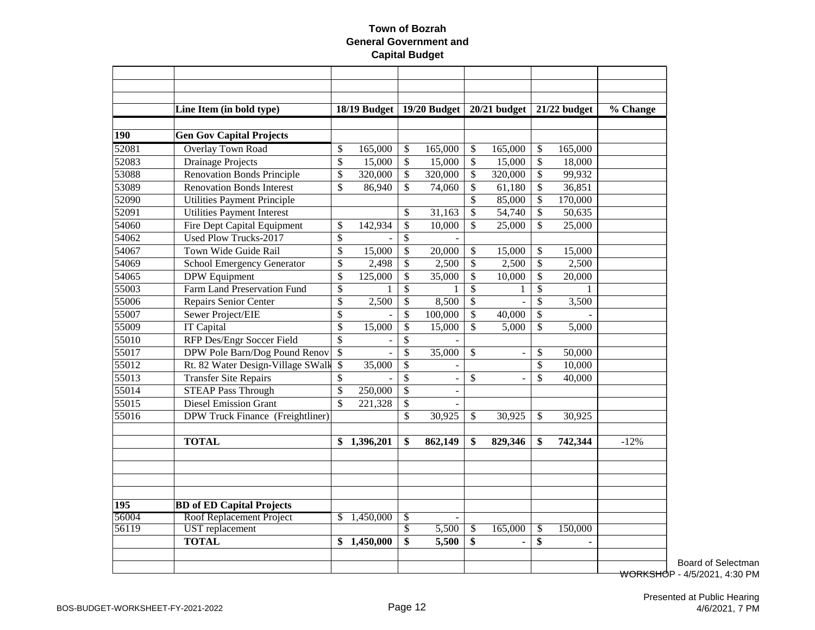|       | Line Item (in bold type)          |                          | 18/19 Budget |                          | 19/20 Budget             |                 | $20/21$ budget           |                 | 21/22 budget   | % Change |
|-------|-----------------------------------|--------------------------|--------------|--------------------------|--------------------------|-----------------|--------------------------|-----------------|----------------|----------|
|       |                                   |                          |              |                          |                          |                 |                          |                 |                |          |
| 190   | <b>Gen Gov Capital Projects</b>   |                          |              |                          |                          |                 |                          |                 |                |          |
| 52081 | Overlay Town Road                 | \$                       | 165,000      | \$                       | 165,000                  | \$              | 165,000                  | \$              | 165,000        |          |
| 52083 | <b>Drainage Projects</b>          | \$                       | 15,000       | \$                       | 15,000                   | \$              | 15,000                   | \$              | 18,000         |          |
| 53088 | <b>Renovation Bonds Principle</b> | \$                       | 320,000      | \$                       | 320,000                  | \$              | 320,000                  | \$              | 99,932         |          |
| 53089 | <b>Renovation Bonds Interest</b>  | \$                       | 86,940       | \$                       | 74,060                   | \$              | 61,180                   | \$              | 36,851         |          |
| 52090 | Utilities Payment Principle       |                          |              |                          |                          | \$              | 85,000                   | \$              | 170,000        |          |
| 52091 | <b>Utilities Payment Interest</b> |                          |              | \$                       | 31,163                   | \$              | 54,740                   | \$              | 50,635         |          |
| 54060 | Fire Dept Capital Equipment       | \$                       | 142,934      | \$                       | 10,000                   | \$              | 25,000                   | \$              | 25,000         |          |
| 54062 | <b>Used Plow Trucks-2017</b>      | \$                       |              | \$                       |                          |                 |                          |                 |                |          |
| 54067 | Town Wide Guide Rail              | $\overline{\$}$          | 15,000       | \$                       | 20,000                   | \$              | 15,000                   | \$              | 15,000         |          |
| 54069 | <b>School Emergency Generator</b> | \$                       | 2,498        | \$                       | 2,500                    | \$              | 2,500                    | \$              | 2,500          |          |
| 54065 | <b>DPW</b> Equipment              | $\overline{\$}$          | 125,000      | \$                       | 35,000                   | \$              | 10,000                   | \$              | 20,000         |          |
| 55003 | Farm Land Preservation Fund       | \$                       |              | \$                       |                          | \$              | 1                        | \$              | 1              |          |
| 55006 | <b>Repairs Senior Center</b>      | $\overline{\mathcal{S}}$ | 2,500        | \$                       | 8,500                    | \$              | $\overline{a}$           | \$              | 3,500          |          |
| 55007 | Sewer Project/EIE                 | \$                       |              | \$                       | 100,000                  | \$              | 40,000                   | \$              |                |          |
| 55009 | IT Capital                        | \$                       | 15,000       | \$                       | 15,000                   | \$              | 5,000                    | \$              | 5,000          |          |
| 55010 | RFP Des/Engr Soccer Field         | \$                       |              | \$                       |                          |                 |                          |                 |                |          |
| 55017 | DPW Pole Barn/Dog Pound Renov     | \$                       |              | \$                       | 35,000                   | $\mathbb{S}$    | $\overline{\phantom{a}}$ | \$              | 50,000         |          |
| 55012 | Rt. 82 Water Design-Village SWalk | \$                       | 35,000       | $\mathbb{S}$             | $\blacksquare$           |                 |                          | \$              | 10,000         |          |
| 55013 | <b>Transfer Site Repairs</b>      | \$                       |              | \$                       | $\overline{\phantom{a}}$ | \$              |                          | \$              | 40,000         |          |
| 55014 | <b>STEAP Pass Through</b>         | \$                       | 250,000      | $\mathbb{S}$             |                          |                 |                          |                 |                |          |
| 55015 | <b>Diesel Emission Grant</b>      | $\mathcal{S}$            | 221,328      | \$                       |                          |                 |                          |                 |                |          |
| 55016 | DPW Truck Finance (Freightliner)  |                          |              | \$                       | 30,925                   | \$              | 30,925                   | \$              | 30,925         |          |
|       |                                   |                          |              |                          |                          |                 |                          |                 |                |          |
|       | <b>TOTAL</b>                      | \$                       | 1,396,201    | \$                       | 862,149                  | \$              | 829,346                  | \$              | 742,344        | $-12%$   |
|       |                                   |                          |              |                          |                          |                 |                          |                 |                |          |
|       |                                   |                          |              |                          |                          |                 |                          |                 |                |          |
| 195   | <b>BD</b> of ED Capital Projects  |                          |              |                          |                          |                 |                          |                 |                |          |
| 56004 | Roof Replacement Project          | \$                       | 1,450,000    | \$                       |                          |                 |                          |                 |                |          |
| 56119 | <b>UST</b> replacement            |                          |              | $\overline{\mathcal{S}}$ | 5,500                    | $\overline{\$}$ | 165,000                  | $\overline{\$}$ | 150,000        |          |
|       | <b>TOTAL</b>                      | \$                       | 1,450,000    | \$                       | 5,500                    | \$              | $\overline{a}$           | \$              | $\blacksquare$ |          |
|       |                                   |                          |              |                          |                          |                 |                          |                 |                |          |
|       |                                   |                          |              |                          |                          |                 |                          |                 |                | بمتحصيت  |